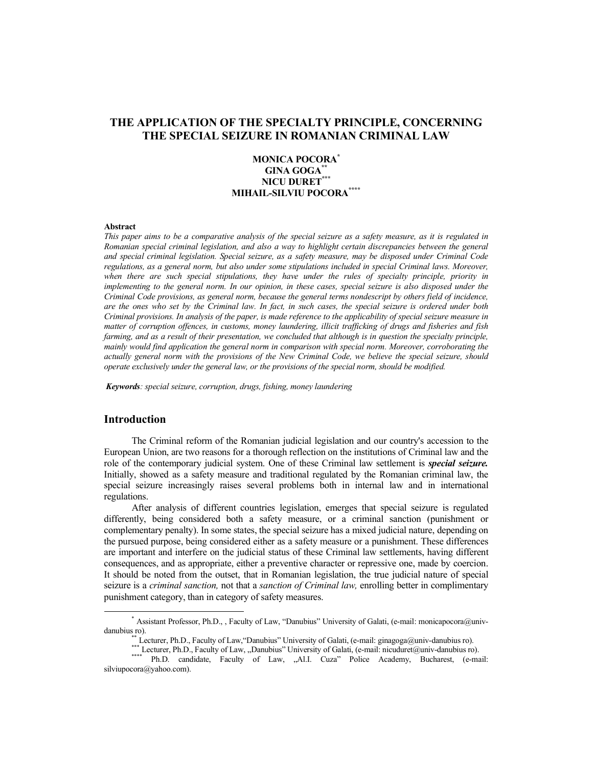# **THE APPLICATION OF THE SPECIALTY PRINCIPLE, CONCERNING THE SPECIAL SEIZURE IN ROMANIAN CRIMINAL LAW**

# **MONICA POCORA\* GINA GOGA\*\* NICU DURET\*\*\* MIHAIL-SILVIU POCORA\*\*\*\***

#### **Abstract**

*This paper aims to be a comparative analysis of the special seizure as a safety measure, as it is regulated in Romanian special criminal legislation, and also a way to highlight certain discrepancies between the general and special criminal legislation. Special seizure, as a safety measure, may be disposed under Criminal Code regulations, as a general norm, but also under some stipulations included in special Criminal laws. Moreover, when there are such special stipulations, they have under the rules of specialty principle, priority in implementing to the general norm. In our opinion, in these cases, special seizure is also disposed under the Criminal Code provisions, as general norm, because the general terms nondescript by others field of incidence, are the ones who set by the Criminal law. In fact, in such cases, the special seizure is ordered under both Criminal provisions. In analysis of the paper, is made reference to the applicability of special seizure measure in matter of corruption offences, in customs, money laundering, illicit trafficking of drugs and fisheries and fish farming, and as a result of their presentation, we concluded that although is in question the specialty principle, mainly would find application the general norm in comparison with special norm. Moreover, corroborating the actually general norm with the provisions of the New Criminal Code, we believe the special seizure, should operate exclusively under the general law, or the provisions of the special norm, should be modified.* 

*Keywords: special seizure, corruption, drugs, fishing, money laundering* 

### **Introduction**

The Criminal reform of the Romanian judicial legislation and our country's accession to the European Union, are two reasons for a thorough reflection on the institutions of Criminal law and the role of the contemporary judicial system. One of these Criminal law settlement is *special seizure.* Initially, showed as a safety measure and traditional regulated by the Romanian criminal law, the special seizure increasingly raises several problems both in internal law and in international regulations.

After analysis of different countries legislation, emerges that special seizure is regulated differently, being considered both a safety measure, or a criminal sanction (punishment or complementary penalty). In some states, the special seizure has a mixed judicial nature, depending on the pursued purpose, being considered either as a safety measure or a punishment. These differences are important and interfere on the judicial status of these Criminal law settlements, having different consequences, and as appropriate, either a preventive character or repressive one, made by coercion. It should be noted from the outset, that in Romanian legislation, the true judicial nature of special seizure is a *criminal sanction,* not that a *sanction of Criminal law,* enrolling better in complimentary punishment category, than in category of safety measures.

<sup>\*</sup> Assistant Professor, Ph.D., , Faculty of Law, "Danubius" University of Galati, (e-mail: monicapocora@univdanubius ro).

<sup>\*\*</sup> Lecturer, Ph.D., Faculty of Law, "Danubius" University of Galati, (e-mail: ginagoga@univ-danubius ro).

<sup>\*\*\*</sup> Lecturer, Ph.D., Faculty of Law, "Danubius" University of Galati, (e-mail: nicuduret@univ-danubius ro). Ph.D. candidate, Faculty of Law, "Al.I. Cuza" Police Academy, Bucharest, (e-mail: silviupocora@yahoo.com).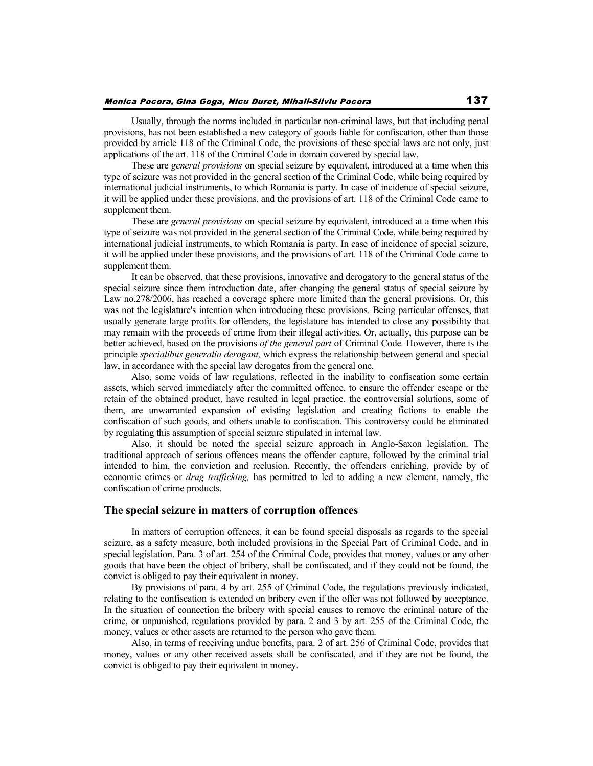Usually, through the norms included in particular non-criminal laws, but that including penal provisions, has not been established a new category of goods liable for confiscation, other than those provided by article 118 of the Criminal Code, the provisions of these special laws are not only, just applications of the art. 118 of the Criminal Code in domain covered by special law.

These are *general provisions* on special seizure by equivalent, introduced at a time when this type of seizure was not provided in the general section of the Criminal Code, while being required by international judicial instruments, to which Romania is party. In case of incidence of special seizure, it will be applied under these provisions, and the provisions of art. 118 of the Criminal Code came to supplement them.

These are *general provisions* on special seizure by equivalent, introduced at a time when this type of seizure was not provided in the general section of the Criminal Code, while being required by international judicial instruments, to which Romania is party. In case of incidence of special seizure, it will be applied under these provisions, and the provisions of art. 118 of the Criminal Code came to supplement them.

It can be observed, that these provisions, innovative and derogatory to the general status of the special seizure since them introduction date, after changing the general status of special seizure by Law no.278/2006, has reached a coverage sphere more limited than the general provisions. Or, this was not the legislature's intention when introducing these provisions. Being particular offenses, that usually generate large profits for offenders, the legislature has intended to close any possibility that may remain with the proceeds of crime from their illegal activities. Or, actually, this purpose can be better achieved, based on the provisions *of the general part* of Criminal Code*.* However, there is the principle *specialibus generalia derogant,* which express the relationship between general and special law, in accordance with the special law derogates from the general one.

Also, some voids of law regulations, reflected in the inability to confiscation some certain assets, which served immediately after the committed offence, to ensure the offender escape or the retain of the obtained product, have resulted in legal practice, the controversial solutions, some of them, are unwarranted expansion of existing legislation and creating fictions to enable the confiscation of such goods, and others unable to confiscation. This controversy could be eliminated by regulating this assumption of special seizure stipulated in internal law.

Also, it should be noted the special seizure approach in Anglo-Saxon legislation. The traditional approach of serious offences means the offender capture, followed by the criminal trial intended to him, the conviction and reclusion. Recently, the offenders enriching, provide by of economic crimes or *drug trafficking,* has permitted to led to adding a new element, namely, the confiscation of crime products.

# **The special seizure in matters of corruption offences**

In matters of corruption offences, it can be found special disposals as regards to the special seizure, as a safety measure, both included provisions in the Special Part of Criminal Code, and in special legislation. Para. 3 of art. 254 of the Criminal Code, provides that money, values or any other goods that have been the object of bribery, shall be confiscated, and if they could not be found, the convict is obliged to pay their equivalent in money.

By provisions of para. 4 by art. 255 of Criminal Code, the regulations previously indicated, relating to the confiscation is extended on bribery even if the offer was not followed by acceptance. In the situation of connection the bribery with special causes to remove the criminal nature of the crime, or unpunished, regulations provided by para. 2 and 3 by art. 255 of the Criminal Code, the money, values or other assets are returned to the person who gave them.

Also, in terms of receiving undue benefits, para. 2 of art. 256 of Criminal Code, provides that money, values or any other received assets shall be confiscated, and if they are not be found, the convict is obliged to pay their equivalent in money.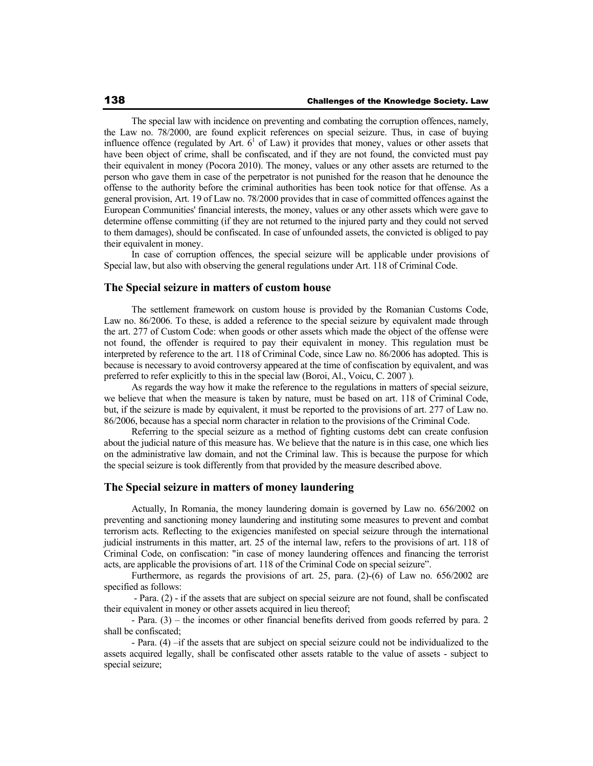The special law with incidence on preventing and combating the corruption offences, namely, the Law no. 78/2000, are found explicit references on special seizure. Thus, in case of buying influence offence (regulated by Art.  $6<sup>1</sup>$  of Law) it provides that money, values or other assets that have been object of crime, shall be confiscated, and if they are not found, the convicted must pay their equivalent in money (Pocora 2010). The money, values or any other assets are returned to the person who gave them in case of the perpetrator is not punished for the reason that he denounce the offense to the authority before the criminal authorities has been took notice for that offense. As a general provision, Art. 19 of Law no. 78/2000 provides that in case of committed offences against the European Communities' financial interests, the money, values or any other assets which were gave to determine offense committing (if they are not returned to the injured party and they could not served to them damages), should be confiscated. In case of unfounded assets, the convicted is obliged to pay their equivalent in money.

In case of corruption offences, the special seizure will be applicable under provisions of Special law, but also with observing the general regulations under Art. 118 of Criminal Code.

#### **The Special seizure in matters of custom house**

The settlement framework on custom house is provided by the Romanian Customs Code, Law no. 86/2006. To these, is added a reference to the special seizure by equivalent made through the art. 277 of Custom Code: when goods or other assets which made the object of the offense were not found, the offender is required to pay their equivalent in money. This regulation must be interpreted by reference to the art. 118 of Criminal Code, since Law no. 86/2006 has adopted. This is because is necessary to avoid controversy appeared at the time of confiscation by equivalent, and was preferred to refer explicitly to this in the special law (Boroi, Al., Voicu, C. 2007 ).

As regards the way how it make the reference to the regulations in matters of special seizure, we believe that when the measure is taken by nature, must be based on art. 118 of Criminal Code, but, if the seizure is made by equivalent, it must be reported to the provisions of art. 277 of Law no. 86/2006, because has a special norm character in relation to the provisions of the Criminal Code.

Referring to the special seizure as a method of fighting customs debt can create confusion about the judicial nature of this measure has. We believe that the nature is in this case, one which lies on the administrative law domain, and not the Criminal law. This is because the purpose for which the special seizure is took differently from that provided by the measure described above.

#### **The Special seizure in matters of money laundering**

Actually, In Romania, the money laundering domain is governed by Law no. 656/2002 on preventing and sanctioning money laundering and instituting some measures to prevent and combat terrorism acts. Reflecting to the exigencies manifested on special seizure through the international judicial instruments in this matter, art. 25 of the internal law, refers to the provisions of art. 118 of Criminal Code, on confiscation: "in case of money laundering offences and financing the terrorist acts, are applicable the provisions of art. 118 of the Criminal Code on special seizure".

Furthermore, as regards the provisions of art. 25, para. (2)-(6) of Law no. 656/2002 are specified as follows:

 - Para. (2) - if the assets that are subject on special seizure are not found, shall be confiscated their equivalent in money or other assets acquired in lieu thereof;

- Para. (3) – the incomes or other financial benefits derived from goods referred by para. 2 shall be confiscated;

- Para. (4) –if the assets that are subject on special seizure could not be individualized to the assets acquired legally, shall be confiscated other assets ratable to the value of assets - subject to special seizure;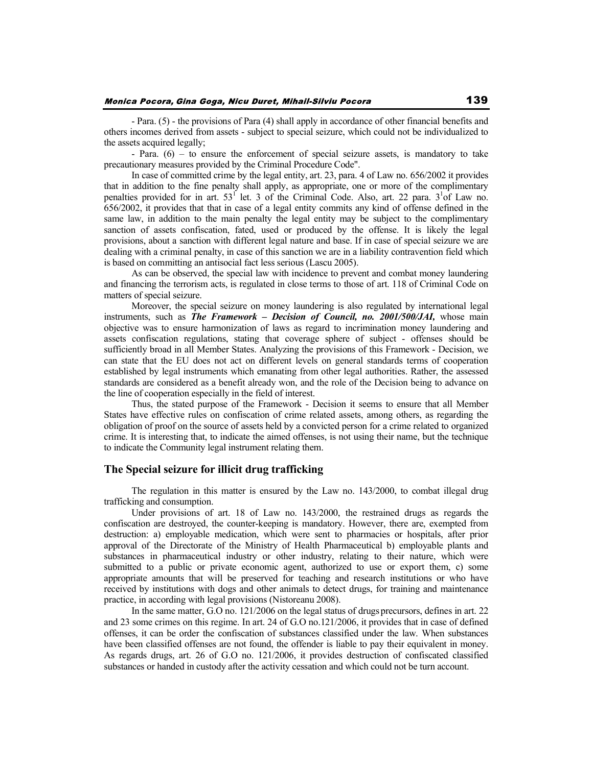- Para. (5) - the provisions of Para (4) shall apply in accordance of other financial benefits and others incomes derived from assets - subject to special seizure, which could not be individualized to the assets acquired legally;

- Para. (6) – to ensure the enforcement of special seizure assets, is mandatory to take precautionary measures provided by the Criminal Procedure Code".

In case of committed crime by the legal entity, art. 23, para. 4 of Law no. 656/2002 it provides that in addition to the fine penalty shall apply, as appropriate, one or more of the complimentary penalties provided for in art.  $53^{\text{T}}$  let. 3 of the Criminal Code. Also, art. 22 para.  $3^{\text{T}}$  and  $3^{\text{T}}$  Law no. 656/2002, it provides that that in case of a legal entity commits any kind of offense defined in the same law, in addition to the main penalty the legal entity may be subject to the complimentary sanction of assets confiscation, fated, used or produced by the offense. It is likely the legal provisions, about a sanction with different legal nature and base. If in case of special seizure we are dealing with a criminal penalty, in case of this sanction we are in a liability contravention field which is based on committing an antisocial fact less serious (Lascu 2005).

As can be observed, the special law with incidence to prevent and combat money laundering and financing the terrorism acts, is regulated in close terms to those of art. 118 of Criminal Code on matters of special seizure.

Moreover, the special seizure on money laundering is also regulated by international legal instruments, such as *The Framework – Decision of Council, no. 2001/500/JAI,* whose main objective was to ensure harmonization of laws as regard to incrimination money laundering and assets confiscation regulations, stating that coverage sphere of subject - offenses should be sufficiently broad in all Member States. Analyzing the provisions of this Framework - Decision, we can state that the EU does not act on different levels on general standards terms of cooperation established by legal instruments which emanating from other legal authorities. Rather, the assessed standards are considered as a benefit already won, and the role of the Decision being to advance on the line of cooperation especially in the field of interest.

Thus, the stated purpose of the Framework - Decision it seems to ensure that all Member States have effective rules on confiscation of crime related assets, among others, as regarding the obligation of proof on the source of assets held by a convicted person for a crime related to organized crime. It is interesting that, to indicate the aimed offenses, is not using their name, but the technique to indicate the Community legal instrument relating them.

### **The Special seizure for illicit drug trafficking**

The regulation in this matter is ensured by the Law no. 143/2000, to combat illegal drug trafficking and consumption.

Under provisions of art. 18 of Law no. 143/2000, the restrained drugs as regards the confiscation are destroyed, the counter-keeping is mandatory. However, there are, exempted from destruction: a) employable medication, which were sent to pharmacies or hospitals, after prior approval of the Directorate of the Ministry of Health Pharmaceutical b) employable plants and substances in pharmaceutical industry or other industry, relating to their nature, which were submitted to a public or private economic agent, authorized to use or export them, c) some appropriate amounts that will be preserved for teaching and research institutions or who have received by institutions with dogs and other animals to detect drugs, for training and maintenance practice, in according with legal provisions (Nistoreanu 2008).

In the same matter, G.O no. 121/2006 on the legal status of drugs precursors, defines in art. 22 and 23 some crimes on this regime. In art. 24 of G.O no.121/2006, it provides that in case of defined offenses, it can be order the confiscation of substances classified under the law. When substances have been classified offenses are not found, the offender is liable to pay their equivalent in money. As regards drugs, art. 26 of G.O no. 121/2006, it provides destruction of confiscated classified substances or handed in custody after the activity cessation and which could not be turn account.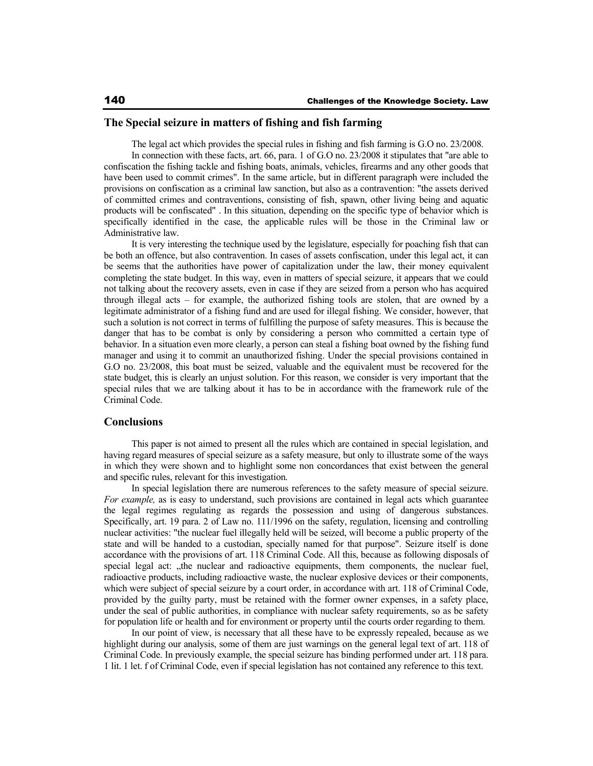# **The Special seizure in matters of fishing and fish farming**

The legal act which provides the special rules in fishing and fish farming is G.O no. 23/2008.

In connection with these facts, art. 66, para. 1 of G.O no. 23/2008 it stipulates that "are able to confiscation the fishing tackle and fishing boats, animals, vehicles, firearms and any other goods that have been used to commit crimes". In the same article, but in different paragraph were included the provisions on confiscation as a criminal law sanction, but also as a contravention: "the assets derived of committed crimes and contraventions, consisting of fish, spawn, other living being and aquatic products will be confiscated" . In this situation, depending on the specific type of behavior which is specifically identified in the case, the applicable rules will be those in the Criminal law or Administrative law.

It is very interesting the technique used by the legislature, especially for poaching fish that can be both an offence, but also contravention. In cases of assets confiscation, under this legal act, it can be seems that the authorities have power of capitalization under the law, their money equivalent completing the state budget. In this way, even in matters of special seizure, it appears that we could not talking about the recovery assets, even in case if they are seized from a person who has acquired through illegal acts – for example, the authorized fishing tools are stolen, that are owned by a legitimate administrator of a fishing fund and are used for illegal fishing. We consider, however, that such a solution is not correct in terms of fulfilling the purpose of safety measures. This is because the danger that has to be combat is only by considering a person who committed a certain type of behavior. In a situation even more clearly, a person can steal a fishing boat owned by the fishing fund manager and using it to commit an unauthorized fishing. Under the special provisions contained in G.O no. 23/2008, this boat must be seized, valuable and the equivalent must be recovered for the state budget, this is clearly an unjust solution. For this reason, we consider is very important that the special rules that we are talking about it has to be in accordance with the framework rule of the Criminal Code.

### **Conclusions**

This paper is not aimed to present all the rules which are contained in special legislation, and having regard measures of special seizure as a safety measure, but only to illustrate some of the ways in which they were shown and to highlight some non concordances that exist between the general and specific rules, relevant for this investigation.

In special legislation there are numerous references to the safety measure of special seizure. *For example*, as is easy to understand, such provisions are contained in legal acts which guarantee the legal regimes regulating as regards the possession and using of dangerous substances. Specifically, art. 19 para. 2 of Law no. 111/1996 on the safety, regulation, licensing and controlling nuclear activities: "the nuclear fuel illegally held will be seized, will become a public property of the state and will be handed to a custodian, specially named for that purpose". Seizure itself is done accordance with the provisions of art. 118 Criminal Code. All this, because as following disposals of special legal act: "the nuclear and radioactive equipments, them components, the nuclear fuel, radioactive products, including radioactive waste, the nuclear explosive devices or their components, which were subject of special seizure by a court order, in accordance with art. 118 of Criminal Code, provided by the guilty party, must be retained with the former owner expenses, in a safety place, under the seal of public authorities, in compliance with nuclear safety requirements, so as be safety for population life or health and for environment or property until the courts order regarding to them.

In our point of view, is necessary that all these have to be expressly repealed, because as we highlight during our analysis, some of them are just warnings on the general legal text of art. 118 of Criminal Code. In previously example, the special seizure has binding performed under art. 118 para. 1 lit. 1 let. f of Criminal Code, even if special legislation has not contained any reference to this text.